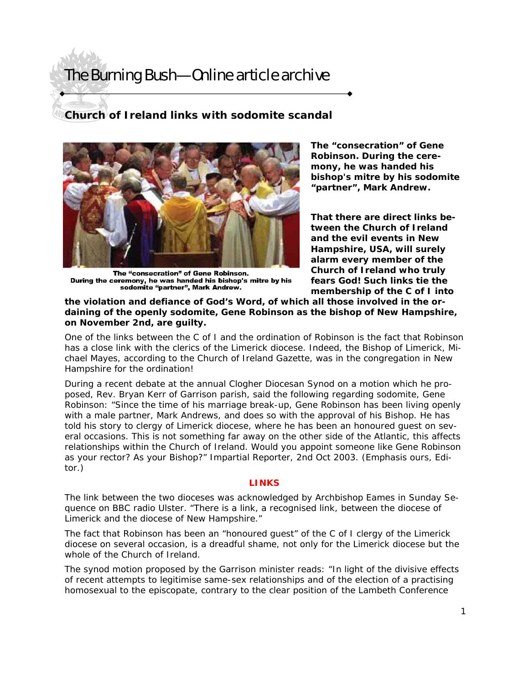### **Church of Ireland links with sodomite scandal**



The "consecration" of Gene Robinson. During the ceremony, he was handed his bishop's mitre by his sodomite "partner", Mark Andrew.

**The "consecration" of Gene Robinson. During the ceremony, he was handed his bishop's mitre by his sodomite "partner", Mark Andrew.**

**That there are direct links between the Church of Ireland and the evil events in New Hampshire, USA, will surely alarm every member of the Church of Ireland who truly fears God! Such links tie the membership of the C of I into** 

**the violation and defiance of God's Word, of which all those involved in the ordaining of the openly sodomite, Gene Robinson as the bishop of New Hampshire, on November 2nd, are guilty.** 

One of the links between the C of I and the ordination of Robinson is the fact that Robinson has a close link with the clerics of the Limerick diocese. Indeed, the Bishop of Limerick, Michael Mayes, according to the Church of Ireland Gazette, was in the congregation in New Hampshire for the ordination!

During a recent debate at the annual Clogher Diocesan Synod on a motion which he proposed, Rev. Bryan Kerr of Garrison parish, said the following regarding sodomite, Gene Robinson: "Since the time of his marriage break-up, Gene Robinson has been living openly with a male partner, Mark Andrews, and does so with the approval of his Bishop. He has told his story to clergy of Limerick diocese, where he has been an honoured guest on several occasions. This is not something far away on the other side of the Atlantic, this affects relationships within the Church of Ireland. Would you appoint someone like Gene Robinson as your rector? As your Bishop?" *Impartial Reporter*, 2nd Oct 2003. (Emphasis ours, Editor.)

#### **LINKS**

The link between the two dioceses was acknowledged by Archbishop Eames in Sunday Sequence on BBC radio Ulster. "There is a link, a recognised link, between the diocese of Limerick and the diocese of New Hampshire."

The fact that Robinson has been an "honoured guest" of the C of I clergy of the Limerick diocese on several occasion, is a dreadful shame, not only for the Limerick diocese but the whole of the Church of Ireland.

The synod motion proposed by the Garrison minister reads: "In light of the divisive effects of recent attempts to legitimise same-sex relationships and of the election of a practising homosexual to the episcopate, contrary to the clear position of the Lambeth Conference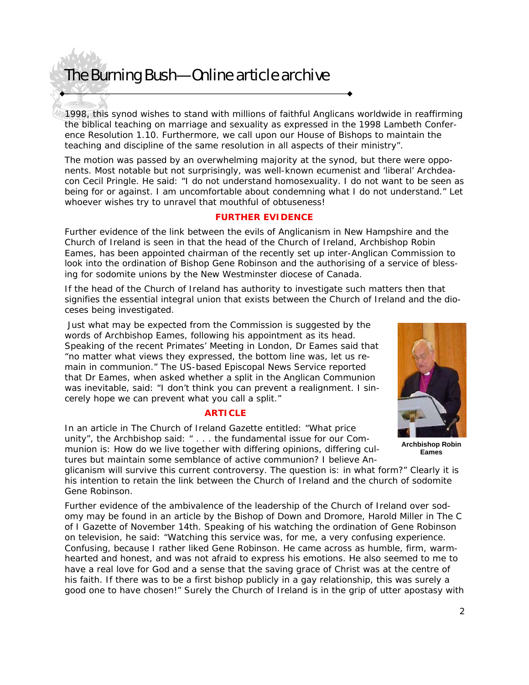1998, this synod wishes to stand with millions of faithful Anglicans worldwide in reaffirming the biblical teaching on marriage and sexuality as expressed in the 1998 Lambeth Conference Resolution 1.10. Furthermore, we call upon our House of Bishops to maintain the teaching and discipline of the same resolution in all aspects of their ministry".

The motion was passed by an overwhelming majority at the synod, but there were opponents. Most notable but not surprisingly, was well-known ecumenist and 'liberal' Archdeacon Cecil Pringle. He said: "I do not understand homosexuality. I do not want to be seen as being for or against. I am uncomfortable about condemning what I do not understand." Let whoever wishes try to unravel that mouthful of obtuseness!

#### **FURTHER EVIDENCE**

Further evidence of the link between the evils of Anglicanism in New Hampshire and the Church of Ireland is seen in that the head of the Church of Ireland, Archbishop Robin Eames, has been appointed chairman of the recently set up inter-Anglican Commission to look into the ordination of Bishop Gene Robinson and the authorising of a service of blessing for sodomite unions by the New Westminster diocese of Canada.

If the head of the Church of Ireland has authority to investigate such matters then that signifies the essential integral union that exists between the Church of Ireland and the dioceses being investigated.

 Just what may be expected from the Commission is suggested by the words of Archbishop Eames, following his appointment as its head. Speaking of the recent Primates' Meeting in London, Dr Eames said that "no matter what views they expressed, the bottom line was, let us remain in communion." The US-based Episcopal News Service reported that Dr Eames, when asked whether a split in the Anglican Communion was inevitable, said: "I don't think you can prevent a realignment. I sincerely hope we can prevent what you call a split."

### **ARTICLE**

In an article in The Church of Ireland Gazette entitled: "What price unity", the Archbishop said: " . . . the fundamental issue for our Communion is: How do we live together with differing opinions, differing cultures but maintain some semblance of active communion? I believe An-



 **Archbishop Robin Eames** 

glicanism will survive this current controversy. The question is: in what form?" Clearly it is his intention to retain the link between the Church of Ireland and the church of sodomite Gene Robinson.

Further evidence of the ambivalence of the leadership of the Church of Ireland over sodomy may be found in an article by the Bishop of Down and Dromore, Harold Miller in The C of I Gazette of November 14th. Speaking of his watching the ordination of Gene Robinson on television, he said: "Watching this service was, for me, a very confusing experience. Confusing, because I rather liked Gene Robinson. He came across as humble, firm, warmhearted and honest, and was not afraid to express his emotions. He also seemed to me to have a real love for God and a sense that the saving grace of Christ was at the centre of his faith. If there was to be a first bishop publicly in a gay relationship, this was surely a good one to have chosen!" Surely the Church of Ireland is in the grip of utter apostasy with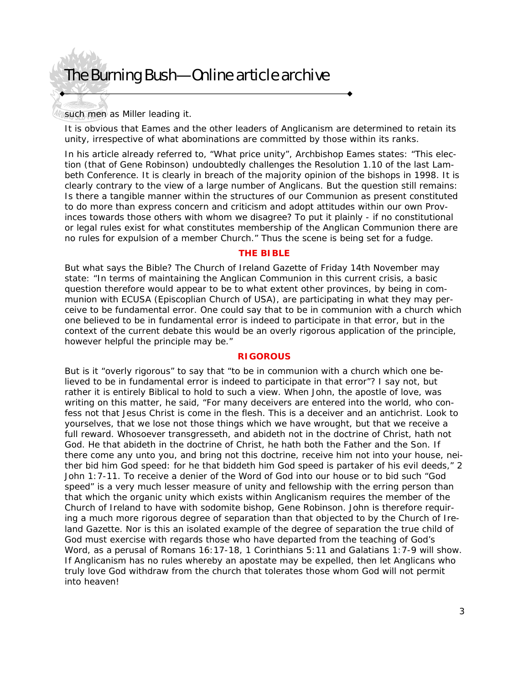such men as Miller leading it.

It is obvious that Eames and the other leaders of Anglicanism are determined to retain its unity, irrespective of what abominations are committed by those within its ranks.

In his article already referred to, "What price unity", Archbishop Eames states: "This election (that of Gene Robinson) undoubtedly challenges the Resolution 1.10 of the last Lambeth Conference. It is clearly in breach of the majority opinion of the bishops in 1998. It is clearly contrary to the view of a large number of Anglicans. But the question still remains: Is there a tangible manner within the structures of our Communion as present constituted to do more than express concern and criticism and adopt attitudes within our own Provinces towards those others with whom we disagree? To put it plainly - if no constitutional or legal rules exist for what constitutes membership of the Anglican Communion there are no rules for expulsion of a member Church." Thus the scene is being set for a fudge.

#### **THE BIBLE**

But what says the Bible? The Church of Ireland Gazette of Friday 14th November may state: "In terms of maintaining the Anglican Communion in this current crisis, a basic question therefore would appear to be to what extent other provinces, by being in communion with ECUSA (Episcoplian Church of USA), are participating in what they may perceive to be fundamental error. One could say that to be in communion with a church which one believed to be in fundamental error is indeed to participate in that error, but in the context of the current debate this would be an overly rigorous application of the principle, however helpful the principle may be."

#### **RIGOROUS**

But is it "overly rigorous" to say that "to be in communion with a church which one believed to be in fundamental error is indeed to participate in that error"? I say not, but rather it is entirely Biblical to hold to such a view. When John, the apostle of love, was writing on this matter, he said, "For many deceivers are entered into the world, who confess not that Jesus Christ is come in the flesh. This is a deceiver and an antichrist. Look to yourselves, that we lose not those things which we have wrought, but that we receive a full reward. Whosoever transgresseth, and abideth not in the doctrine of Christ, hath not God. He that abideth in the doctrine of Christ, he hath both the Father and the Son. If there come any unto you, and bring not this doctrine, receive him not into your house, neither bid him God speed: for he that biddeth him God speed is partaker of his evil deeds," 2 John 1:7-11. To receive a denier of the Word of God into our house or to bid such "God speed" is a very much lesser measure of unity and fellowship with the erring person than that which the organic unity which exists within Anglicanism requires the member of the Church of Ireland to have with sodomite bishop, Gene Robinson. John is therefore requiring a much more rigorous degree of separation than that objected to by the Church of Ireland Gazette. Nor is this an isolated example of the degree of separation the true child of God must exercise with regards those who have departed from the teaching of God's Word, as a perusal of Romans 16:17-18, 1 Corinthians 5:11 and Galatians 1:7-9 will show. If Anglicanism has no rules whereby an apostate may be expelled, then let Anglicans who truly love God withdraw from the church that tolerates those whom God will not permit into heaven!